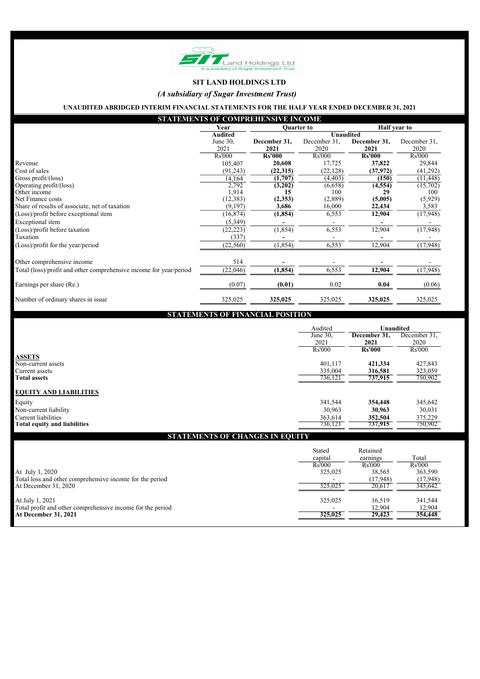| Half year to<br><b>Quarter to</b><br>Year<br><b>Unaudited</b><br><b>Audited</b><br>December 31,<br>December 31,<br>December 31,<br>June 30,<br>2021<br>2020<br>2021<br>2021<br><b>Rs'000</b><br><b>Rs'000</b><br>Rs'000<br><b>Rs'000</b><br>20,608<br>17,725<br>37,822<br>105,407<br>(22, 128)<br>(37, 972)<br>(91,243)<br>(22, 315)<br>(1,707)<br>(4, 403)<br>(150)<br>14,164<br>2,792<br>(3,202)<br>(6,658)<br>(4, 554)<br>1,914<br>100<br>29<br>15<br>(12, 383)<br>(2, 353)<br>(2,889)<br>(5,005)<br>(9,197)<br>3,686<br>16,000<br>22,434<br>12,904<br>(16, 874)<br>(1, 854)<br>6,553<br>(5,349)<br>6,553<br>12,904<br>(1, 854)<br>(22, 223)<br>(337)<br>(22, 560)<br>(1, 854)<br>6,553<br>12,904<br>514<br>6,553<br>12,904<br>(1, 854)<br>(22,046) |              |      |      |        | <b>STATEMENTS OF COMPREHENSIVE INCOME</b> |                          |
|--------------------------------------------------------------------------------------------------------------------------------------------------------------------------------------------------------------------------------------------------------------------------------------------------------------------------------------------------------------------------------------------------------------------------------------------------------------------------------------------------------------------------------------------------------------------------------------------------------------------------------------------------------------------------------------------------------------------------------------------------------|--------------|------|------|--------|-------------------------------------------|--------------------------|
|                                                                                                                                                                                                                                                                                                                                                                                                                                                                                                                                                                                                                                                                                                                                                        |              |      |      |        |                                           |                          |
| Revenue<br>Cost of sales<br>Gross profit/(loss)<br>Operating profit/(loss)<br>Other income<br>Net Finance costs<br>Share of results of associate, net of taxation<br>(Loss)/profit before exceptional item<br>Exceptional item<br>(Loss)/profit before taxation<br>Taxation<br>(Loss)/profit for the year/period<br>Other comprehensive income<br>Total (loss)/profit and other comprehensive income for year/period                                                                                                                                                                                                                                                                                                                                   |              |      |      |        |                                           |                          |
|                                                                                                                                                                                                                                                                                                                                                                                                                                                                                                                                                                                                                                                                                                                                                        | December 31, |      |      |        |                                           |                          |
|                                                                                                                                                                                                                                                                                                                                                                                                                                                                                                                                                                                                                                                                                                                                                        | 2020         |      |      |        |                                           |                          |
|                                                                                                                                                                                                                                                                                                                                                                                                                                                                                                                                                                                                                                                                                                                                                        | Rs'000       |      |      |        |                                           |                          |
|                                                                                                                                                                                                                                                                                                                                                                                                                                                                                                                                                                                                                                                                                                                                                        | 29,844       |      |      |        |                                           |                          |
|                                                                                                                                                                                                                                                                                                                                                                                                                                                                                                                                                                                                                                                                                                                                                        | (41,292)     |      |      |        |                                           |                          |
|                                                                                                                                                                                                                                                                                                                                                                                                                                                                                                                                                                                                                                                                                                                                                        | (11, 448)    |      |      |        |                                           |                          |
|                                                                                                                                                                                                                                                                                                                                                                                                                                                                                                                                                                                                                                                                                                                                                        | (15,702)     |      |      |        |                                           |                          |
|                                                                                                                                                                                                                                                                                                                                                                                                                                                                                                                                                                                                                                                                                                                                                        | 100          |      |      |        |                                           |                          |
|                                                                                                                                                                                                                                                                                                                                                                                                                                                                                                                                                                                                                                                                                                                                                        | (5,929)      |      |      |        |                                           |                          |
|                                                                                                                                                                                                                                                                                                                                                                                                                                                                                                                                                                                                                                                                                                                                                        | 3,583        |      |      |        |                                           |                          |
|                                                                                                                                                                                                                                                                                                                                                                                                                                                                                                                                                                                                                                                                                                                                                        | (17, 948)    |      |      |        |                                           |                          |
|                                                                                                                                                                                                                                                                                                                                                                                                                                                                                                                                                                                                                                                                                                                                                        |              |      |      |        |                                           |                          |
|                                                                                                                                                                                                                                                                                                                                                                                                                                                                                                                                                                                                                                                                                                                                                        | (17,948)     |      |      |        |                                           |                          |
|                                                                                                                                                                                                                                                                                                                                                                                                                                                                                                                                                                                                                                                                                                                                                        |              |      |      |        |                                           |                          |
|                                                                                                                                                                                                                                                                                                                                                                                                                                                                                                                                                                                                                                                                                                                                                        | (17,948)     |      |      |        |                                           |                          |
|                                                                                                                                                                                                                                                                                                                                                                                                                                                                                                                                                                                                                                                                                                                                                        |              |      |      |        |                                           |                          |
|                                                                                                                                                                                                                                                                                                                                                                                                                                                                                                                                                                                                                                                                                                                                                        | (17,948)     |      |      |        |                                           |                          |
|                                                                                                                                                                                                                                                                                                                                                                                                                                                                                                                                                                                                                                                                                                                                                        | (0.06)       | 0.04 | 0.02 | (0.01) | (0.07)                                    | Earnings per share (Re.) |
| 325,025<br>325,025<br>325,025<br>325,025<br>Number of ordinary shares in issue                                                                                                                                                                                                                                                                                                                                                                                                                                                                                                                                                                                                                                                                         | 325,025      |      |      |        |                                           |                          |

|                                     | Audited       | <b>Unaudited</b> |               |
|-------------------------------------|---------------|------------------|---------------|
|                                     | June 30,      | December 31,     | December 31,  |
|                                     | 2021          | 2021             | 2020          |
|                                     | <b>Rs'000</b> | <b>Rs'000</b>    | <b>Rs'000</b> |
| <b>ASSETS</b>                       |               |                  |               |
| Non-current assets                  | 401,117       | 421,334          | 427,843       |
| Current assets                      | 335,004       | 316,581          | 323,059       |
| <b>Total assets</b>                 | 736,121       | 737,915          | 750,902       |
| <b>EQUITY AND LIABILITIES</b>       |               |                  |               |
| Equity                              | 341,544       | 354,448          | 345,642       |
| Non-current liability               | 30,963        | 30,963           | 30,031        |
| Current liabilities                 | 363,614       | 352,504          | 375,229       |
| <b>Total equity and liabilities</b> | 736,121       | 737,915          | 750,902       |

|                                                            | <b>Stated</b><br>capital<br><b>Rs'000</b> | Retained<br>earnings<br><b>Rs'000</b> | Total<br><b>Rs'000</b> |
|------------------------------------------------------------|-------------------------------------------|---------------------------------------|------------------------|
| At July 1, 2020                                            | 325,025                                   | 38,565                                | 363,590                |
| Total loss and other comprehensive income for the period   |                                           | (17,948)                              | (17, 948)              |
| At December 31, 2020                                       | 325,025                                   | 20,617                                | 345,642                |
| At July 1, 2021                                            | 325,025                                   | 16,519                                | 341,544                |
| Total profit and other comprehensive income for the period |                                           | 12,904                                | 12,904                 |
| At December 31, 2021                                       | 325,025                                   | 29,423                                | 354,448                |



## SIT LAND HOLDINGS LTD

(A subsidiary of Sugar Investment Trust)

UNAUDITED ABRIDGED INTERIM FINANCIAL STATEMENTS FOR THE HALF YEAR ENDED DECEMBER 31, 2021

## STATEMENTS OF FINANCIAL POSITION

# STATEMENTS OF CHANGES IN EQUITY